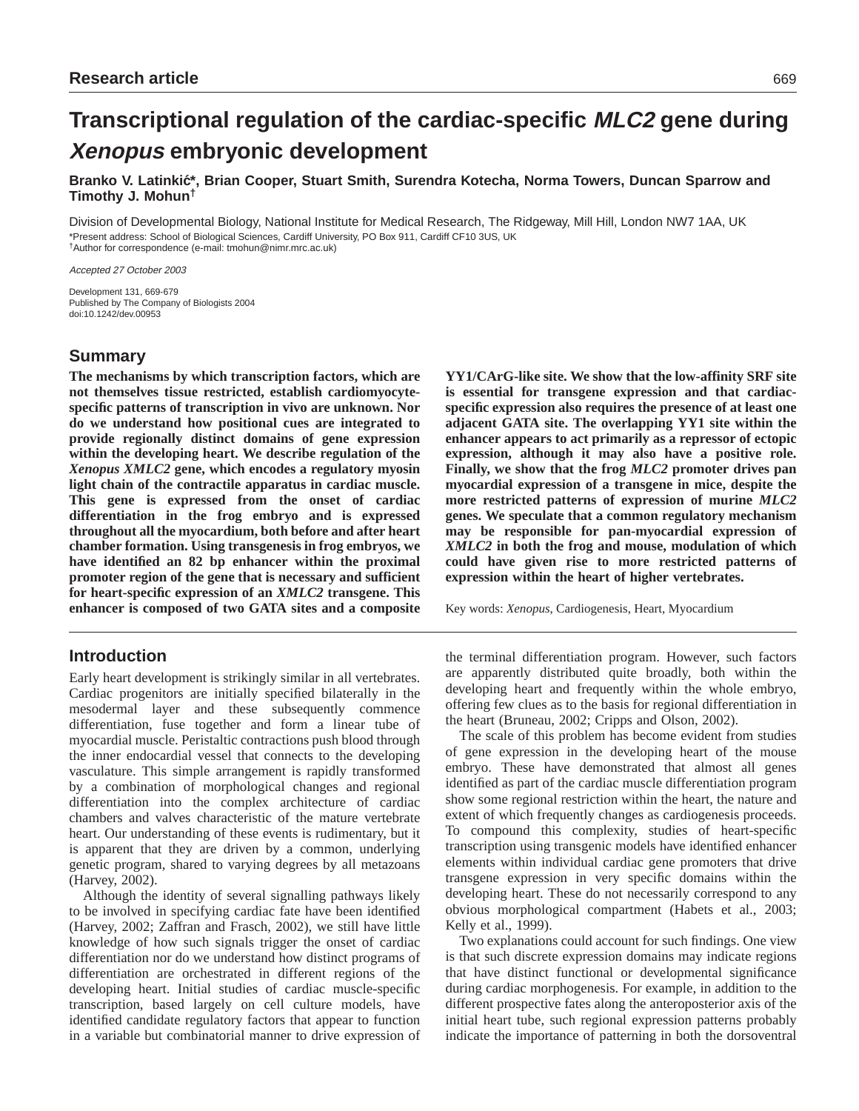# **Transcriptional regulation of the cardiac-specific MLC2 gene during Xenopus embryonic development**

**Branko V. Latinkic´\*, Brian Cooper, Stuart Smith, Surendra Kotecha, Norma Towers, Duncan Sparrow and Timothy J. Mohun†**

Division of Developmental Biology, National Institute for Medical Research, The Ridgeway, Mill Hill, London NW7 1AA, UK \*Present address: School of Biological Sciences, Cardiff University, PO Box 911, Cardiff CF10 3US, UK †Author for correspondence (e-mail: tmohun@nimr.mrc.ac.uk)

Accepted 27 October 2003

Development 131, 669-679 Published by The Company of Biologists 2004 doi:10.1242/dev.00953

# **Summary**

**The mechanisms by which transcription factors, which are not themselves tissue restricted, establish cardiomyocytespecific patterns of transcription in vivo are unknown. Nor do we understand how positional cues are integrated to provide regionally distinct domains of gene expression within the developing heart. We describe regulation of the** *Xenopus XMLC2* **gene, which encodes a regulatory myosin light chain of the contractile apparatus in cardiac muscle. This gene is expressed from the onset of cardiac differentiation in the frog embryo and is expressed throughout all the myocardium, both before and after heart chamber formation. Using transgenesis in frog embryos, we have identified an 82 bp enhancer within the proximal promoter region of the gene that is necessary and sufficient for heart-specific expression of an** *XMLC2* **transgene. This enhancer is composed of two GATA sites and a composite**

# **Introduction**

Early heart development is strikingly similar in all vertebrates. Cardiac progenitors are initially specified bilaterally in the mesodermal layer and these subsequently commence differentiation, fuse together and form a linear tube of myocardial muscle. Peristaltic contractions push blood through the inner endocardial vessel that connects to the developing vasculature. This simple arrangement is rapidly transformed by a combination of morphological changes and regional differentiation into the complex architecture of cardiac chambers and valves characteristic of the mature vertebrate heart. Our understanding of these events is rudimentary, but it is apparent that they are driven by a common, underlying genetic program, shared to varying degrees by all metazoans (Harvey, 2002).

Although the identity of several signalling pathways likely to be involved in specifying cardiac fate have been identified (Harvey, 2002; Zaffran and Frasch, 2002), we still have little knowledge of how such signals trigger the onset of cardiac differentiation nor do we understand how distinct programs of differentiation are orchestrated in different regions of the developing heart. Initial studies of cardiac muscle-specific transcription, based largely on cell culture models, have identified candidate regulatory factors that appear to function in a variable but combinatorial manner to drive expression of

**YY1/CArG-like site. We show that the low-affinity SRF site is essential for transgene expression and that cardiacspecific expression also requires the presence of at least one adjacent GATA site. The overlapping YY1 site within the enhancer appears to act primarily as a repressor of ectopic expression, although it may also have a positive role. Finally, we show that the frog** *MLC2* **promoter drives pan myocardial expression of a transgene in mice, despite the more restricted patterns of expression of murine** *MLC2* **genes. We speculate that a common regulatory mechanism may be responsible for pan-myocardial expression of** *XMLC2* **in both the frog and mouse, modulation of which could have given rise to more restricted patterns of expression within the heart of higher vertebrates.**

Key words: *Xenopus*, Cardiogenesis, Heart, Myocardium

the terminal differentiation program. However, such factors are apparently distributed quite broadly, both within the developing heart and frequently within the whole embryo, offering few clues as to the basis for regional differentiation in the heart (Bruneau, 2002; Cripps and Olson, 2002).

The scale of this problem has become evident from studies of gene expression in the developing heart of the mouse embryo. These have demonstrated that almost all genes identified as part of the cardiac muscle differentiation program show some regional restriction within the heart, the nature and extent of which frequently changes as cardiogenesis proceeds. To compound this complexity, studies of heart-specific transcription using transgenic models have identified enhancer elements within individual cardiac gene promoters that drive transgene expression in very specific domains within the developing heart. These do not necessarily correspond to any obvious morphological compartment (Habets et al., 2003; Kelly et al., 1999).

Two explanations could account for such findings. One view is that such discrete expression domains may indicate regions that have distinct functional or developmental significance during cardiac morphogenesis. For example, in addition to the different prospective fates along the anteroposterior axis of the initial heart tube, such regional expression patterns probably indicate the importance of patterning in both the dorsoventral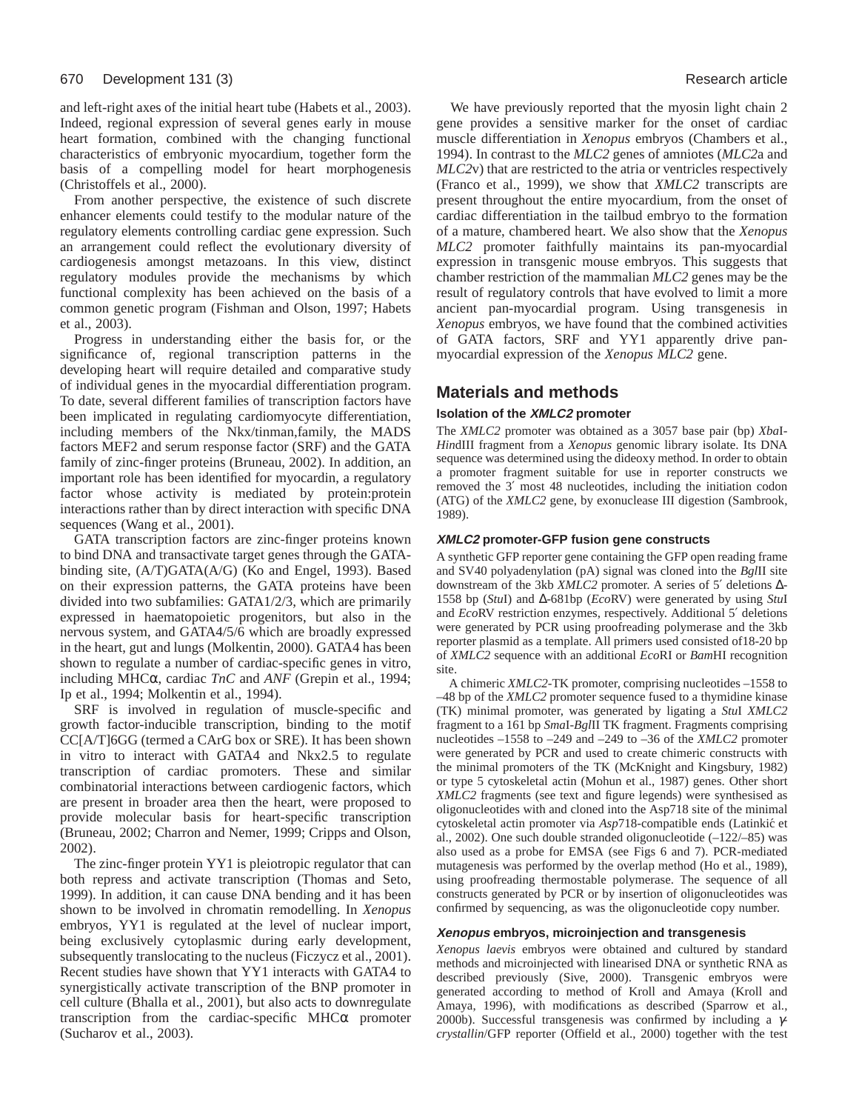and left-right axes of the initial heart tube (Habets et al., 2003). Indeed, regional expression of several genes early in mouse heart formation, combined with the changing functional characteristics of embryonic myocardium, together form the basis of a compelling model for heart morphogenesis (Christoffels et al., 2000).

From another perspective, the existence of such discrete enhancer elements could testify to the modular nature of the regulatory elements controlling cardiac gene expression. Such an arrangement could reflect the evolutionary diversity of cardiogenesis amongst metazoans. In this view, distinct regulatory modules provide the mechanisms by which functional complexity has been achieved on the basis of a common genetic program (Fishman and Olson, 1997; Habets et al., 2003).

Progress in understanding either the basis for, or the significance of, regional transcription patterns in the developing heart will require detailed and comparative study of individual genes in the myocardial differentiation program. To date, several different families of transcription factors have been implicated in regulating cardiomyocyte differentiation, including members of the Nkx/tinman,family, the MADS factors MEF2 and serum response factor (SRF) and the GATA family of zinc-finger proteins (Bruneau, 2002). In addition, an important role has been identified for myocardin, a regulatory factor whose activity is mediated by protein:protein interactions rather than by direct interaction with specific DNA sequences (Wang et al., 2001).

GATA transcription factors are zinc-finger proteins known to bind DNA and transactivate target genes through the GATAbinding site, (A/T)GATA(A/G) (Ko and Engel, 1993). Based on their expression patterns, the GATA proteins have been divided into two subfamilies: GATA1/2/3, which are primarily expressed in haematopoietic progenitors, but also in the nervous system, and GATA4/5/6 which are broadly expressed in the heart, gut and lungs (Molkentin, 2000). GATA4 has been shown to regulate a number of cardiac-specific genes in vitro, including MHCα, cardiac *TnC* and *ANF* (Grepin et al., 1994; Ip et al., 1994; Molkentin et al., 1994).

SRF is involved in regulation of muscle-specific and growth factor-inducible transcription, binding to the motif CC[A/T]6GG (termed a CArG box or SRE). It has been shown in vitro to interact with GATA4 and Nkx2.5 to regulate transcription of cardiac promoters. These and similar combinatorial interactions between cardiogenic factors, which are present in broader area then the heart, were proposed to provide molecular basis for heart-specific transcription (Bruneau, 2002; Charron and Nemer, 1999; Cripps and Olson, 2002).

The zinc-finger protein YY1 is pleiotropic regulator that can both repress and activate transcription (Thomas and Seto, 1999). In addition, it can cause DNA bending and it has been shown to be involved in chromatin remodelling. In *Xenopus* embryos, YY1 is regulated at the level of nuclear import, being exclusively cytoplasmic during early development, subsequently translocating to the nucleus (Ficzycz et al., 2001). Recent studies have shown that YY1 interacts with GATA4 to synergistically activate transcription of the BNP promoter in cell culture (Bhalla et al., 2001), but also acts to downregulate transcription from the cardiac-specific MHCα promoter (Sucharov et al., 2003).

We have previously reported that the myosin light chain 2 gene provides a sensitive marker for the onset of cardiac muscle differentiation in *Xenopus* embryos (Chambers et al., 1994). In contrast to the *MLC2* genes of amniotes (*MLC2*a and *MLC2*v) that are restricted to the atria or ventricles respectively (Franco et al., 1999), we show that *XMLC2* transcripts are present throughout the entire myocardium, from the onset of cardiac differentiation in the tailbud embryo to the formation of a mature, chambered heart. We also show that the *Xenopus MLC2* promoter faithfully maintains its pan-myocardial expression in transgenic mouse embryos. This suggests that chamber restriction of the mammalian *MLC2* genes may be the result of regulatory controls that have evolved to limit a more ancient pan-myocardial program. Using transgenesis in *Xenopus* embryos, we have found that the combined activities of GATA factors, SRF and YY1 apparently drive panmyocardial expression of the *Xenopus MLC2* gene.

# **Materials and methods**

### **Isolation of the XMLC2 promoter**

The *XMLC2* promoter was obtained as a 3057 base pair (bp) *Xba*I-*Hin*dIII fragment from a *Xenopus* genomic library isolate. Its DNA sequence was determined using the dideoxy method. In order to obtain a promoter fragment suitable for use in reporter constructs we removed the 3′ most 48 nucleotides, including the initiation codon (ATG) of the *XMLC2* gene, by exonuclease III digestion (Sambrook, 1989).

### **XMLC2 promoter-GFP fusion gene constructs**

A synthetic GFP reporter gene containing the GFP open reading frame and SV40 polyadenylation (pA) signal was cloned into the *Bgl*II site downstream of the 3kb *XMLC2* promoter. A series of 5′ deletions ∆- 1558 bp (*Stu*I) and ∆-681bp (*Eco*RV) were generated by using *Stu*I and *Eco*RV restriction enzymes, respectively. Additional 5′ deletions were generated by PCR using proofreading polymerase and the 3kb reporter plasmid as a template. All primers used consisted of18-20 bp of *XMLC2* sequence with an additional *Eco*RI or *Bam*HI recognition site.

A chimeric *XMLC2*-TK promoter, comprising nucleotides –1558 to –48 bp of the *XMLC2* promoter sequence fused to a thymidine kinase (TK) minimal promoter, was generated by ligating a *Stu*I *XMLC2* fragment to a 161 bp *Sma*I-*Bgl*II TK fragment. Fragments comprising nucleotides –1558 to –249 and –249 to –36 of the *XMLC2* promoter were generated by PCR and used to create chimeric constructs with the minimal promoters of the TK (McKnight and Kingsbury, 1982) or type 5 cytoskeletal actin (Mohun et al., 1987) genes. Other short *XMLC2* fragments (see text and figure legends) were synthesised as oligonucleotides with and cloned into the Asp718 site of the minimal cytoskeletal actin promoter via *Asp*718-compatible ends (Latinkić et al., 2002). One such double stranded oligonucleotide (–122/–85) was also used as a probe for EMSA (see Figs 6 and 7). PCR-mediated mutagenesis was performed by the overlap method (Ho et al., 1989), using proofreading thermostable polymerase. The sequence of all constructs generated by PCR or by insertion of oligonucleotides was confirmed by sequencing, as was the oligonucleotide copy number.

#### **Xenopus embryos, microinjection and transgenesis**

*Xenopus laevis* embryos were obtained and cultured by standard methods and microinjected with linearised DNA or synthetic RNA as described previously (Sive, 2000). Transgenic embryos were generated according to method of Kroll and Amaya (Kroll and Amaya, 1996), with modifications as described (Sparrow et al., 2000b). Successful transgenesis was confirmed by including a γ*crystallin*/GFP reporter (Offield et al., 2000) together with the test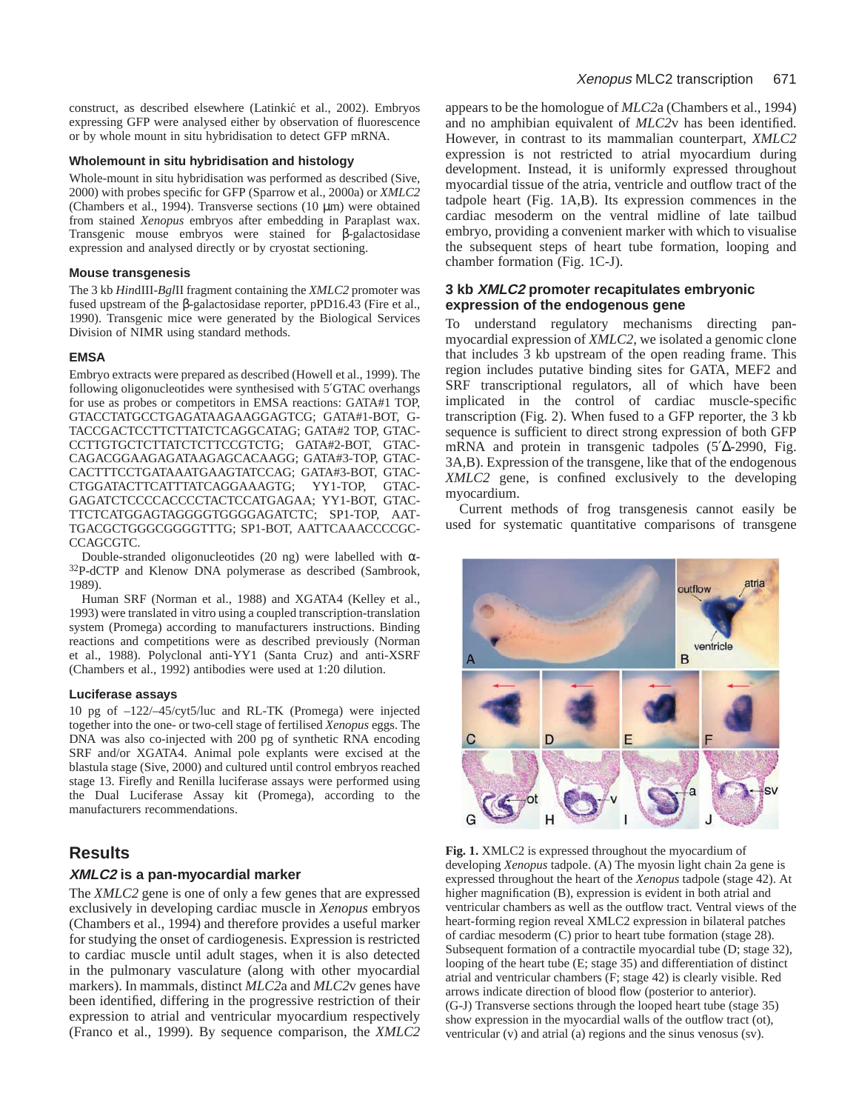construct, as described elsewhere (Latinkić et al., 2002). Embryos expressing GFP were analysed either by observation of fluorescence or by whole mount in situ hybridisation to detect GFP mRNA.

#### **Wholemount in situ hybridisation and histology**

Whole-mount in situ hybridisation was performed as described (Sive, 2000) with probes specific for GFP (Sparrow et al., 2000a) or *XMLC2* (Chambers et al., 1994). Transverse sections (10 µm) were obtained from stained *Xenopus* embryos after embedding in Paraplast wax. Transgenic mouse embryos were stained for β-galactosidase expression and analysed directly or by cryostat sectioning.

#### **Mouse transgenesis**

The 3 kb *Hin*dIII-*Bgl*II fragment containing the *XMLC2* promoter was fused upstream of the β-galactosidase reporter, pPD16.43 (Fire et al., 1990). Transgenic mice were generated by the Biological Services Division of NIMR using standard methods.

#### **EMSA**

Embryo extracts were prepared as described (Howell et al., 1999). The following oligonucleotides were synthesised with 5′GTAC overhangs for use as probes or competitors in EMSA reactions: GATA#1 TOP, GTACCTATGCCTGAGATAAGAAGGAGTCG; GATA#1-BOT, G-TACCGACTCCTTCTTATCTCAGGCATAG; GATA#2 TOP, GTAC-CCTTGTGCTCTTATCTCTTCCGTCTG; GATA#2-BOT, GTAC-CAGACGGAAGAGATAAGAGCACAAGG; GATA#3-TOP, GTAC-CACTTTCCTGATAAATGAAGTATCCAG; GATA#3-BOT, GTAC-CTGGATACTTCATTTATCAGGAAAGTG; YY1-TOP, GTAC-GAGATCTCCCCACCCCTACTCCATGAGAA; YY1-BOT, GTAC-TTCTCATGGAGTAGGGGTGGGGAGATCTC; SP1-TOP, AAT-TGACGCTGGGCGGGGTTTG; SP1-BOT, AATTCAAACCCCGC-CCAGCGTC.

Double-stranded oligonucleotides (20 ng) were labelled with  $\alpha$ -32P-dCTP and Klenow DNA polymerase as described (Sambrook, 1989).

Human SRF (Norman et al., 1988) and XGATA4 (Kelley et al., 1993) were translated in vitro using a coupled transcription-translation system (Promega) according to manufacturers instructions. Binding reactions and competitions were as described previously (Norman et al., 1988). Polyclonal anti-YY1 (Santa Cruz) and anti-XSRF (Chambers et al., 1992) antibodies were used at 1:20 dilution.

#### **Luciferase assays**

10 pg of –122/–45/cyt5/luc and RL-TK (Promega) were injected together into the one- or two-cell stage of fertilised *Xenopus* eggs. The DNA was also co-injected with 200 pg of synthetic RNA encoding SRF and/or XGATA4. Animal pole explants were excised at the blastula stage (Sive, 2000) and cultured until control embryos reached stage 13. Firefly and Renilla luciferase assays were performed using the Dual Luciferase Assay kit (Promega), according to the manufacturers recommendations.

## **Results**

#### **XMLC2 is a pan-myocardial marker**

The *XMLC2* gene is one of only a few genes that are expressed exclusively in developing cardiac muscle in *Xenopus* embryos (Chambers et al., 1994) and therefore provides a useful marker for studying the onset of cardiogenesis. Expression is restricted to cardiac muscle until adult stages, when it is also detected in the pulmonary vasculature (along with other myocardial markers). In mammals, distinct *MLC2*a and *MLC2*v genes have been identified, differing in the progressive restriction of their expression to atrial and ventricular myocardium respectively (Franco et al., 1999). By sequence comparison, the *XMLC2*

appears to be the homologue of *MLC2*a (Chambers et al., 1994) and no amphibian equivalent of *MLC2*v has been identified. However, in contrast to its mammalian counterpart, *XMLC2* expression is not restricted to atrial myocardium during development. Instead, it is uniformly expressed throughout myocardial tissue of the atria, ventricle and outflow tract of the tadpole heart (Fig. 1A,B). Its expression commences in the cardiac mesoderm on the ventral midline of late tailbud embryo, providing a convenient marker with which to visualise the subsequent steps of heart tube formation, looping and chamber formation (Fig. 1C-J).

#### **3 kb XMLC2 promoter recapitulates embryonic expression of the endogenous gene**

To understand regulatory mechanisms directing panmyocardial expression of *XMLC2*, we isolated a genomic clone that includes 3 kb upstream of the open reading frame. This region includes putative binding sites for GATA, MEF2 and SRF transcriptional regulators, all of which have been implicated in the control of cardiac muscle-specific transcription (Fig. 2). When fused to a GFP reporter, the 3 kb sequence is sufficient to direct strong expression of both GFP mRNA and protein in transgenic tadpoles (5′∆-2990, Fig. 3A,B). Expression of the transgene, like that of the endogenous *XMLC2* gene, is confined exclusively to the developing myocardium.

Current methods of frog transgenesis cannot easily be used for systematic quantitative comparisons of transgene



**Fig. 1.** XMLC2 is expressed throughout the myocardium of developing *Xenopus* tadpole. (A) The myosin light chain 2a gene is expressed throughout the heart of the *Xenopus* tadpole (stage 42). At higher magnification (B), expression is evident in both atrial and ventricular chambers as well as the outflow tract. Ventral views of the heart-forming region reveal XMLC2 expression in bilateral patches of cardiac mesoderm (C) prior to heart tube formation (stage 28). Subsequent formation of a contractile myocardial tube (D; stage 32), looping of the heart tube (E; stage 35) and differentiation of distinct atrial and ventricular chambers (F; stage 42) is clearly visible. Red arrows indicate direction of blood flow (posterior to anterior). (G-J) Transverse sections through the looped heart tube (stage 35) show expression in the myocardial walls of the outflow tract (ot), ventricular (v) and atrial (a) regions and the sinus venosus (sv).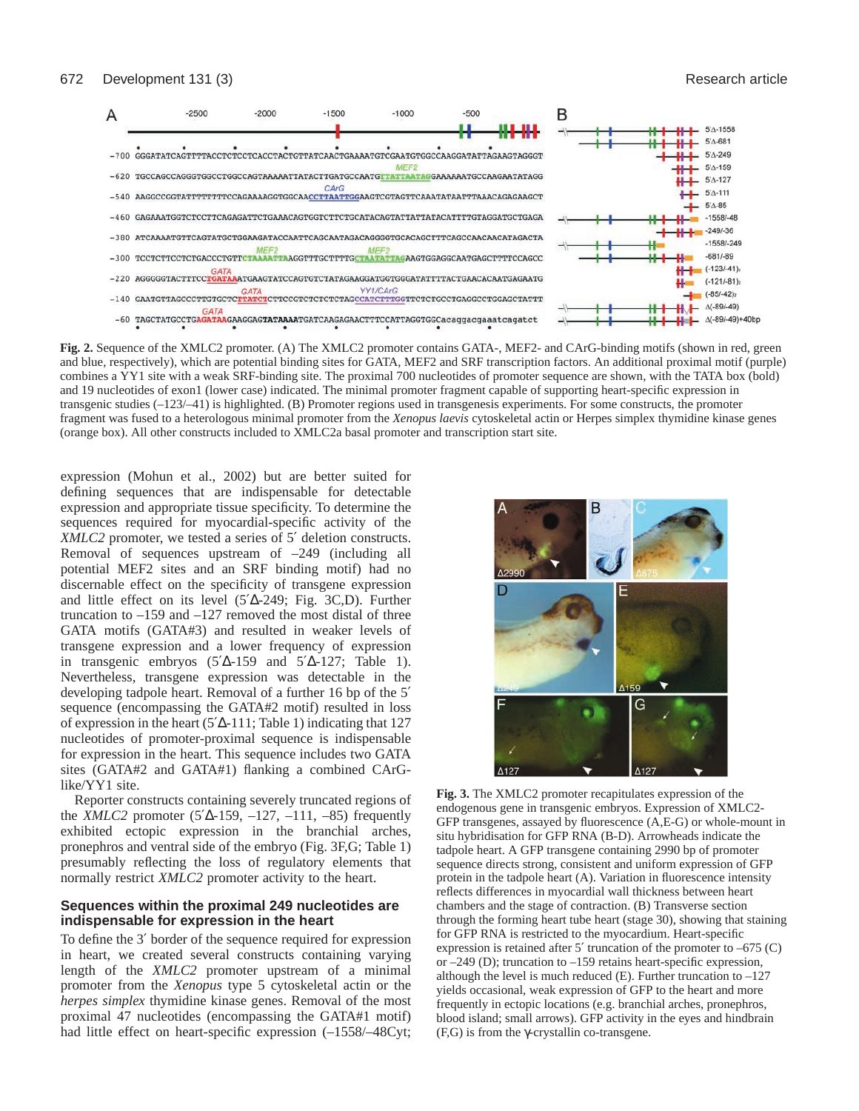

**Fig. 2.** Sequence of the XMLC2 promoter. (A) The XMLC2 promoter contains GATA-, MEF2- and CArG-binding motifs (shown in red, green and blue, respectively), which are potential binding sites for GATA, MEF2 and SRF transcription factors. An additional proximal motif (purple) combines a YY1 site with a weak SRF-binding site. The proximal 700 nucleotides of promoter sequence are shown, with the TATA box (bold) and 19 nucleotides of exon1 (lower case) indicated. The minimal promoter fragment capable of supporting heart-specific expression in transgenic studies (–123/–41) is highlighted. (B) Promoter regions used in transgenesis experiments. For some constructs, the promoter fragment was fused to a heterologous minimal promoter from the *Xenopus laevis* cytoskeletal actin or Herpes simplex thymidine kinase genes (orange box). All other constructs included to XMLC2a basal promoter and transcription start site.

expression (Mohun et al., 2002) but are better suited for defining sequences that are indispensable for detectable expression and appropriate tissue specificity. To determine the sequences required for myocardial-specific activity of the *XMLC2* promoter, we tested a series of 5' deletion constructs. Removal of sequences upstream of –249 (including all potential MEF2 sites and an SRF binding motif) had no discernable effect on the specificity of transgene expression and little effect on its level (5′∆-249; Fig. 3C,D). Further truncation to –159 and –127 removed the most distal of three GATA motifs (GATA#3) and resulted in weaker levels of transgene expression and a lower frequency of expression in transgenic embryos  $(5^{\prime}\Delta - 159)$  and  $5^{\prime}\Delta - 127$ ; Table 1). Nevertheless, transgene expression was detectable in the developing tadpole heart. Removal of a further 16 bp of the 5′ sequence (encompassing the GATA#2 motif) resulted in loss of expression in the heart (5′∆-111; Table 1) indicating that 127 nucleotides of promoter-proximal sequence is indispensable for expression in the heart. This sequence includes two GATA sites (GATA#2 and GATA#1) flanking a combined CArGlike/YY1 site.

Reporter constructs containing severely truncated regions of the *XMLC2* promoter (5′∆-159, –127, –111, –85) frequently exhibited ectopic expression in the branchial arches, pronephros and ventral side of the embryo (Fig. 3F,G; Table 1) presumably reflecting the loss of regulatory elements that normally restrict *XMLC2* promoter activity to the heart.

## **Sequences within the proximal 249 nucleotides are indispensable for expression in the heart**

To define the 3′ border of the sequence required for expression in heart, we created several constructs containing varying length of the *XMLC2* promoter upstream of a minimal promoter from the *Xenopus* type 5 cytoskeletal actin or the *herpes simplex* thymidine kinase genes. Removal of the most proximal 47 nucleotides (encompassing the GATA#1 motif) had little effect on heart-specific expression  $(-1558/-48Cyt;$ 



**Fig. 3.** The XMLC2 promoter recapitulates expression of the endogenous gene in transgenic embryos. Expression of XMLC2- GFP transgenes, assayed by fluorescence (A,E-G) or whole-mount in situ hybridisation for GFP RNA (B-D). Arrowheads indicate the tadpole heart. A GFP transgene containing 2990 bp of promoter sequence directs strong, consistent and uniform expression of GFP protein in the tadpole heart (A). Variation in fluorescence intensity reflects differences in myocardial wall thickness between heart chambers and the stage of contraction. (B) Transverse section through the forming heart tube heart (stage 30), showing that staining for GFP RNA is restricted to the myocardium. Heart-specific expression is retained after 5′ truncation of the promoter to –675 (C) or –249 (D); truncation to –159 retains heart-specific expression, although the level is much reduced  $(E)$ . Further truncation to  $-127$ yields occasional, weak expression of GFP to the heart and more frequently in ectopic locations (e.g. branchial arches, pronephros, blood island; small arrows). GFP activity in the eyes and hindbrain (F,G) is from the γ-crystallin co-transgene.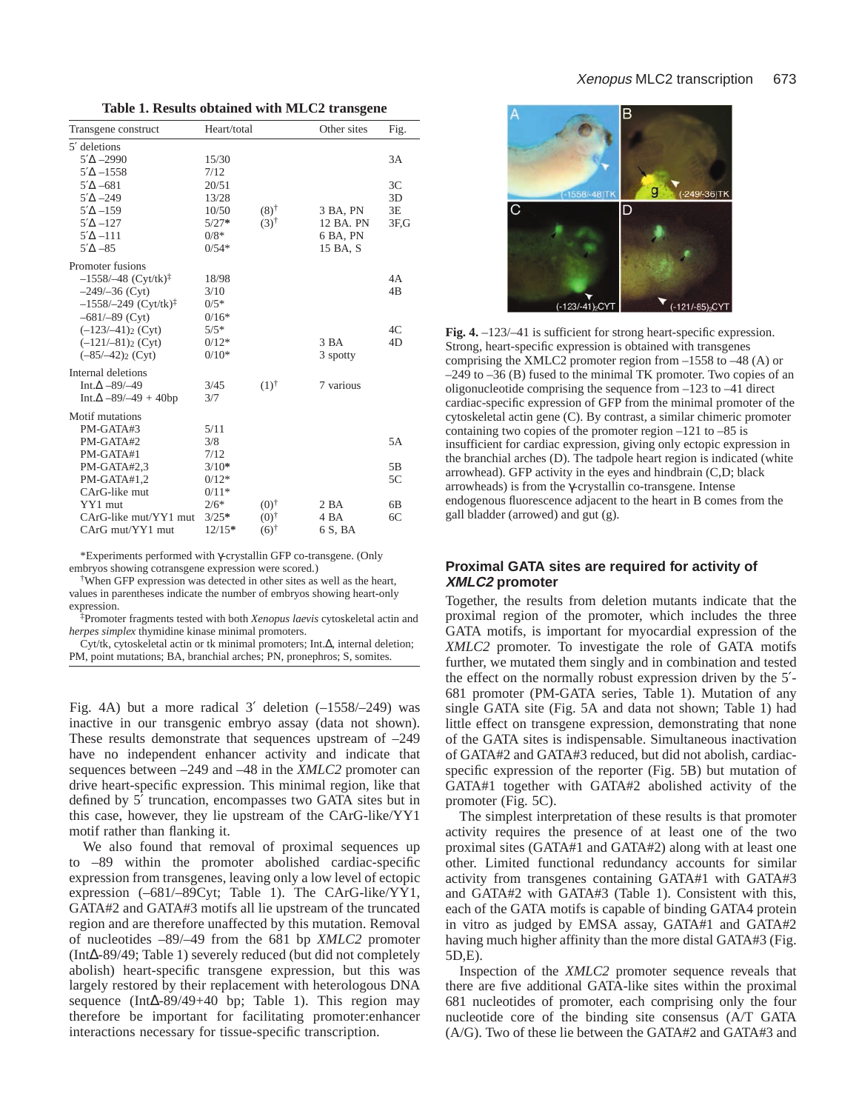|  |  |  |  |  | Table 1. Results obtained with MLC2 transgene |
|--|--|--|--|--|-----------------------------------------------|
|--|--|--|--|--|-----------------------------------------------|

| Transgene construct                | Heart/total |                 | Other sites     | Fig.            |
|------------------------------------|-------------|-----------------|-----------------|-----------------|
| 5' deletions                       |             |                 |                 |                 |
| $5^{\prime}\Delta - 2990$          | 15/30       |                 |                 | 3A              |
| $5'$ $\Delta -1558$                | 7/12        |                 |                 |                 |
| $5^{\prime}\Delta - 681$           | 20/51       |                 |                 | 3C              |
| $5'$ $\Delta -249$                 | 13/28       |                 |                 | 3D              |
| $5^{\prime}\Delta$ -159            | 10/50       | $(8)^{\dagger}$ | 3 BA, PN        | 3E              |
| $5^{\prime}\Delta$ -127            | $5/27*$     | $(3)^{\dagger}$ | 12 BA. PN       | 3F <sub>0</sub> |
| $5^{\prime}\Delta$ -111            | $0/8*$      |                 | 6 BA, PN        |                 |
| $5^{\prime}\Delta - 85$            | $0/54*$     |                 | 15 BA, S        |                 |
| Promoter fusions                   |             |                 |                 |                 |
| $-1558/-48$ (Cyt/tk) <sup>‡</sup>  | 18/98       |                 |                 | 4A              |
| $-249/-36$ (Cyt)                   | 3/10        |                 |                 | 4 <sub>B</sub>  |
| $-1558/-249$ (Cyt/tk) <sup>‡</sup> | $0/5*$      |                 |                 |                 |
| $-681/-89$ (Cyt)                   | $0/16*$     |                 |                 |                 |
| $(-123/–41)$ <sub>2</sub> (Cyt)    | $5/5*$      |                 |                 | 4C              |
| $(-121/-81)$ <sub>2</sub> (Cyt)    | $0/12*$     |                 | 3 BA            | 4D              |
| $(-85/-42)$ <sub>2</sub> (Cyt)     | $0/10*$     |                 | 3 spotty        |                 |
| Internal deletions                 |             |                 |                 |                 |
| Int. $\Delta - 89/ - 49$           | 3/45        | $(1)^{\dagger}$ | 7 various       |                 |
| Int. $\Delta -89/-49 + 40bp$       | 3/7         |                 |                 |                 |
| Motif mutations                    |             |                 |                 |                 |
| PM-GATA#3                          | 5/11        |                 |                 |                 |
| PM-GATA#2                          | 3/8         |                 |                 | 5A              |
| PM-GATA#1                          | 7/12        |                 |                 |                 |
| PM-GATA#2,3                        | $3/10*$     |                 |                 | 5B              |
| PM-GATA#1,2                        | $0/12*$     |                 |                 | 5C              |
| CArG-like mut                      | $0/11*$     |                 |                 |                 |
| YY1 mut                            | $2/6*$      | $(0)^\dagger$   | 2 <sub>BA</sub> | 6B              |
| CArG-like mut/YY1 mut              | $3/25*$     | $(0)^\dagger$   | 4 BA            | 6C              |
| CArG mut/YY1 mut                   | $12/15*$    | $(6)^\dagger$   | 6 S, BA         |                 |

\*Experiments performed with γ-crystallin GFP co-transgene. (Only embryos showing cotransgene expression were scored.)

†When GFP expression was detected in other sites as well as the heart, values in parentheses indicate the number of embryos showing heart-only expression.

‡Promoter fragments tested with both *Xenopus laevis* cytoskeletal actin and *herpes simplex* thymidine kinase minimal promoters.

Cyt/tk, cytoskeletal actin or tk minimal promoters; Int.∆, internal deletion; PM, point mutations; BA, branchial arches; PN, pronephros; S, somites.

Fig. 4A) but a more radical 3′ deletion (–1558/–249) was inactive in our transgenic embryo assay (data not shown). These results demonstrate that sequences upstream of –249 have no independent enhancer activity and indicate that sequences between –249 and –48 in the *XMLC2* promoter can drive heart-specific expression. This minimal region, like that defined by 5′ truncation, encompasses two GATA sites but in this case, however, they lie upstream of the CArG-like/YY1 motif rather than flanking it.

We also found that removal of proximal sequences up to –89 within the promoter abolished cardiac-specific expression from transgenes, leaving only a low level of ectopic expression (–681/–89Cyt; Table 1). The CArG-like/YY1, GATA#2 and GATA#3 motifs all lie upstream of the truncated region and are therefore unaffected by this mutation. Removal of nucleotides –89/–49 from the 681 bp *XMLC2* promoter (Int∆-89/49; Table 1) severely reduced (but did not completely abolish) heart-specific transgene expression, but this was largely restored by their replacement with heterologous DNA sequence (Int∆-89/49+40 bp; Table 1). This region may therefore be important for facilitating promoter:enhancer interactions necessary for tissue-specific transcription.



**Fig. 4.** –123/–41 is sufficient for strong heart-specific expression. Strong, heart-specific expression is obtained with transgenes comprising the XMLC2 promoter region from –1558 to –48 (A) or  $-249$  to  $-36$  (B) fused to the minimal TK promoter. Two copies of an oligonucleotide comprising the sequence from –123 to –41 direct cardiac-specific expression of GFP from the minimal promoter of the cytoskeletal actin gene (C). By contrast, a similar chimeric promoter containing two copies of the promoter region –121 to –85 is insufficient for cardiac expression, giving only ectopic expression in the branchial arches (D). The tadpole heart region is indicated (white arrowhead). GFP activity in the eyes and hindbrain (C,D; black arrowheads) is from the γ-crystallin co-transgene. Intense endogenous fluorescence adjacent to the heart in B comes from the gall bladder (arrowed) and gut (g).

## **Proximal GATA sites are required for activity of XMLC2 promoter**

Together, the results from deletion mutants indicate that the proximal region of the promoter, which includes the three GATA motifs, is important for myocardial expression of the *XMLC2* promoter. To investigate the role of GATA motifs further, we mutated them singly and in combination and tested the effect on the normally robust expression driven by the 5′- 681 promoter (PM-GATA series, Table 1). Mutation of any single GATA site (Fig. 5A and data not shown; Table 1) had little effect on transgene expression, demonstrating that none of the GATA sites is indispensable. Simultaneous inactivation of GATA#2 and GATA#3 reduced, but did not abolish, cardiacspecific expression of the reporter (Fig. 5B) but mutation of GATA#1 together with GATA#2 abolished activity of the promoter (Fig. 5C).

The simplest interpretation of these results is that promoter activity requires the presence of at least one of the two proximal sites (GATA#1 and GATA#2) along with at least one other. Limited functional redundancy accounts for similar activity from transgenes containing GATA#1 with GATA#3 and GATA#2 with GATA#3 (Table 1). Consistent with this, each of the GATA motifs is capable of binding GATA4 protein in vitro as judged by EMSA assay, GATA#1 and GATA#2 having much higher affinity than the more distal GATA#3 (Fig. 5D,E).

Inspection of the *XMLC2* promoter sequence reveals that there are five additional GATA-like sites within the proximal 681 nucleotides of promoter, each comprising only the four nucleotide core of the binding site consensus (A/T GATA (A/G). Two of these lie between the GATA#2 and GATA#3 and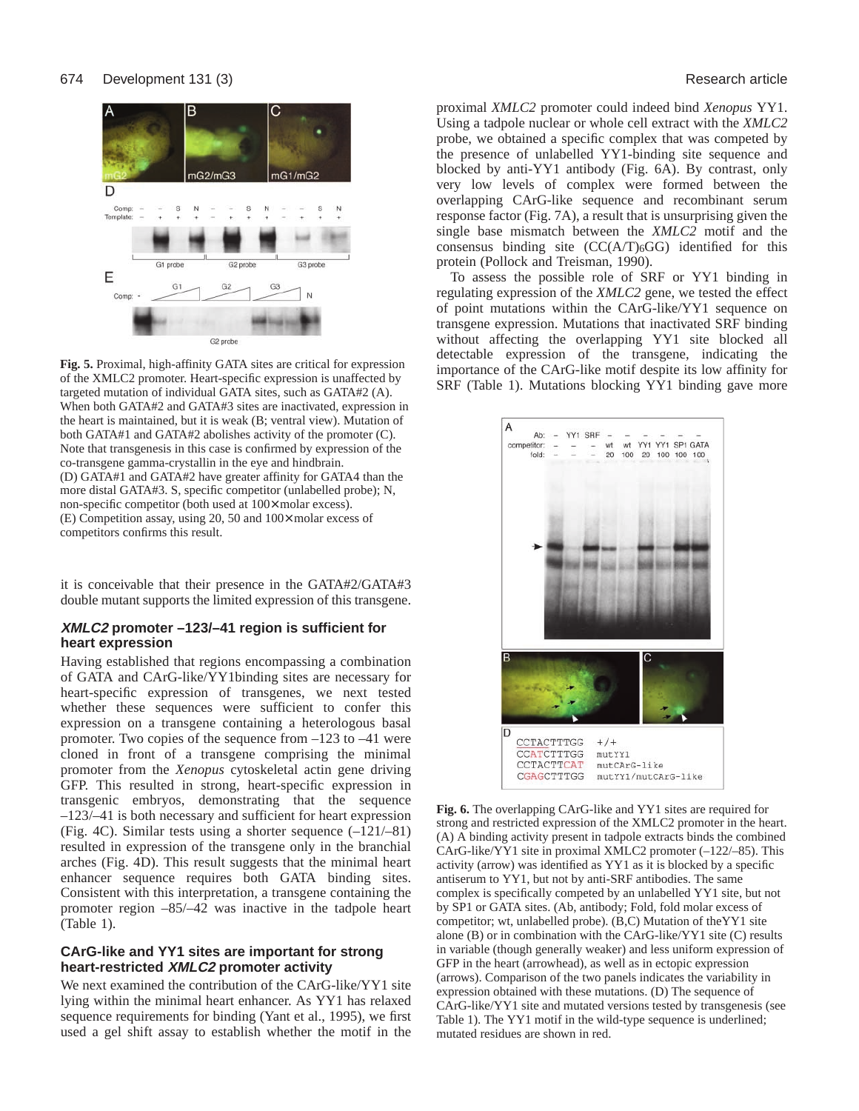

**Fig. 5.** Proximal, high-affinity GATA sites are critical for expression of the XMLC2 promoter. Heart-specific expression is unaffected by targeted mutation of individual GATA sites, such as GATA#2 (A). When both GATA#2 and GATA#3 sites are inactivated, expression in the heart is maintained, but it is weak (B; ventral view). Mutation of both GATA#1 and GATA#2 abolishes activity of the promoter (C). Note that transgenesis in this case is confirmed by expression of the co-transgene gamma-crystallin in the eye and hindbrain. (D) GATA#1 and GATA#2 have greater affinity for GATA4 than the more distal GATA#3. S, specific competitor (unlabelled probe); N, non-specific competitor (both used at 100× molar excess). (E) Competition assay, using 20, 50 and 100× molar excess of competitors confirms this result.

it is conceivable that their presence in the GATA#2/GATA#3 double mutant supports the limited expression of this transgene.

## **XMLC2 promoter –123/–41 region is sufficient for heart expression**

Having established that regions encompassing a combination of GATA and CArG-like/YY1binding sites are necessary for heart-specific expression of transgenes, we next tested whether these sequences were sufficient to confer this expression on a transgene containing a heterologous basal promoter. Two copies of the sequence from –123 to –41 were cloned in front of a transgene comprising the minimal promoter from the *Xenopus* cytoskeletal actin gene driving GFP. This resulted in strong, heart-specific expression in transgenic embryos, demonstrating that the sequence –123/–41 is both necessary and sufficient for heart expression (Fig. 4C). Similar tests using a shorter sequence (–121/–81) resulted in expression of the transgene only in the branchial arches (Fig. 4D). This result suggests that the minimal heart enhancer sequence requires both GATA binding sites. Consistent with this interpretation, a transgene containing the promoter region –85/–42 was inactive in the tadpole heart (Table 1).

## **CArG-like and YY1 sites are important for strong heart-restricted XMLC2 promoter activity**

We next examined the contribution of the CArG-like/YY1 site lying within the minimal heart enhancer. As YY1 has relaxed sequence requirements for binding (Yant et al., 1995), we first used a gel shift assay to establish whether the motif in the

proximal *XMLC2* promoter could indeed bind *Xenopus* YY1. Using a tadpole nuclear or whole cell extract with the *XMLC2* probe, we obtained a specific complex that was competed by the presence of unlabelled YY1-binding site sequence and blocked by anti-YY1 antibody (Fig. 6A). By contrast, only very low levels of complex were formed between the overlapping CArG-like sequence and recombinant serum response factor (Fig. 7A), a result that is unsurprising given the single base mismatch between the *XMLC2* motif and the consensus binding site  $(CC(A/T)_6GG)$  identified for this protein (Pollock and Treisman, 1990).

To assess the possible role of SRF or YY1 binding in regulating expression of the *XMLC2* gene, we tested the effect of point mutations within the CArG-like/YY1 sequence on transgene expression. Mutations that inactivated SRF binding without affecting the overlapping YY1 site blocked all detectable expression of the transgene, indicating the importance of the CArG-like motif despite its low affinity for SRF (Table 1). Mutations blocking YY1 binding gave more



**Fig. 6.** The overlapping CArG-like and YY1 sites are required for strong and restricted expression of the XMLC2 promoter in the heart. (A) A binding activity present in tadpole extracts binds the combined CArG-like/YY1 site in proximal XMLC2 promoter (–122/–85). This activity (arrow) was identified as YY1 as it is blocked by a specific antiserum to YY1, but not by anti-SRF antibodies. The same complex is specifically competed by an unlabelled YY1 site, but not by SP1 or GATA sites. (Ab, antibody; Fold, fold molar excess of competitor; wt, unlabelled probe). (B,C) Mutation of theYY1 site alone (B) or in combination with the CArG-like/YY1 site (C) results in variable (though generally weaker) and less uniform expression of GFP in the heart (arrowhead), as well as in ectopic expression (arrows). Comparison of the two panels indicates the variability in expression obtained with these mutations. (D) The sequence of CArG-like/YY1 site and mutated versions tested by transgenesis (see Table 1). The YY1 motif in the wild-type sequence is underlined; mutated residues are shown in red.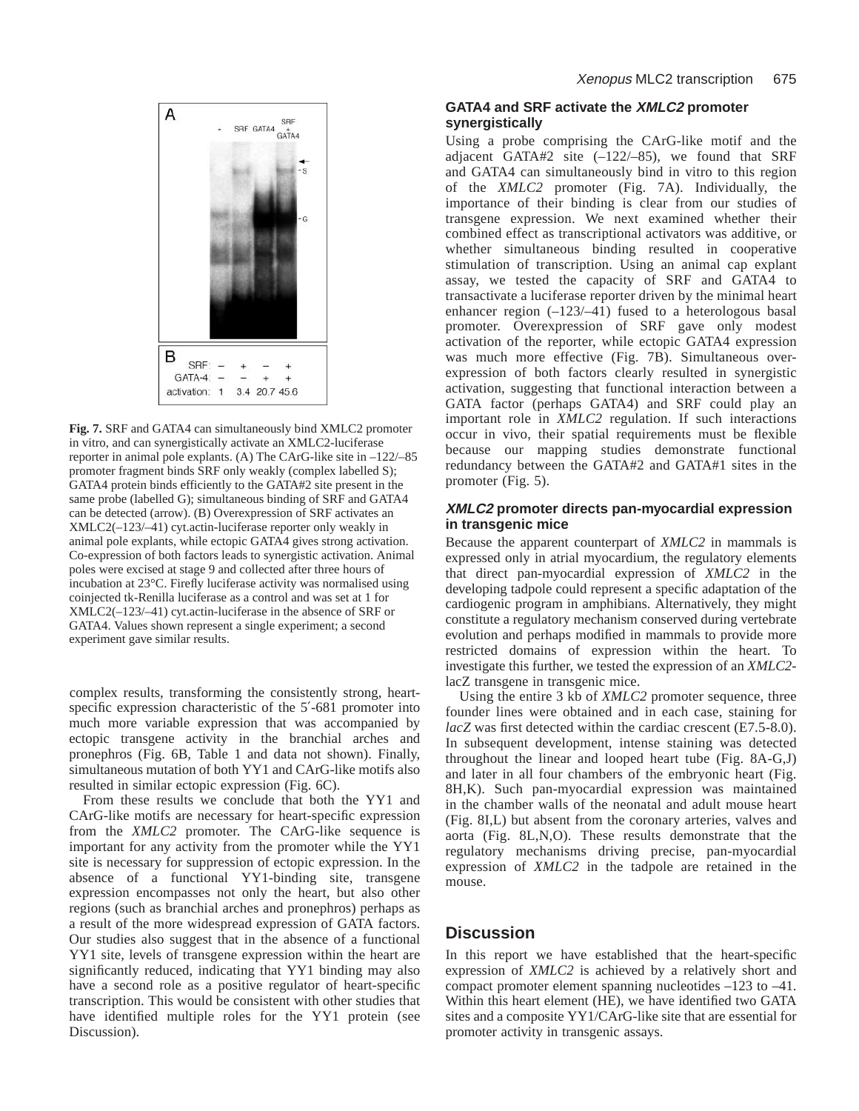

**Fig. 7.** SRF and GATA4 can simultaneously bind XMLC2 promoter in vitro, and can synergistically activate an XMLC2-luciferase reporter in animal pole explants. (A) The CArG-like site in –122/–85 promoter fragment binds SRF only weakly (complex labelled S); GATA4 protein binds efficiently to the GATA#2 site present in the same probe (labelled G); simultaneous binding of SRF and GATA4 can be detected (arrow). (B) Overexpression of SRF activates an XMLC2(–123/–41) cyt.actin-luciferase reporter only weakly in animal pole explants, while ectopic GATA4 gives strong activation. Co-expression of both factors leads to synergistic activation. Animal poles were excised at stage 9 and collected after three hours of incubation at 23°C. Firefly luciferase activity was normalised using coinjected tk-Renilla luciferase as a control and was set at 1 for XMLC2(–123/–41) cyt.actin-luciferase in the absence of SRF or GATA4. Values shown represent a single experiment; a second experiment gave similar results.

complex results, transforming the consistently strong, heartspecific expression characteristic of the 5'-681 promoter into much more variable expression that was accompanied by ectopic transgene activity in the branchial arches and pronephros (Fig. 6B, Table 1 and data not shown). Finally, simultaneous mutation of both YY1 and CArG-like motifs also resulted in similar ectopic expression (Fig. 6C).

From these results we conclude that both the YY1 and CArG-like motifs are necessary for heart-specific expression from the *XMLC2* promoter. The CArG-like sequence is important for any activity from the promoter while the YY1 site is necessary for suppression of ectopic expression. In the absence of a functional YY1-binding site, transgene expression encompasses not only the heart, but also other regions (such as branchial arches and pronephros) perhaps as a result of the more widespread expression of GATA factors. Our studies also suggest that in the absence of a functional YY1 site, levels of transgene expression within the heart are significantly reduced, indicating that YY1 binding may also have a second role as a positive regulator of heart-specific transcription. This would be consistent with other studies that have identified multiple roles for the YY1 protein (see Discussion).

## **GATA4 and SRF activate the XMLC2 promoter synergistically**

Using a probe comprising the CArG-like motif and the adjacent GATA#2 site  $(-122/-85)$ , we found that SRF and GATA4 can simultaneously bind in vitro to this region of the *XMLC2* promoter (Fig. 7A). Individually, the importance of their binding is clear from our studies of transgene expression. We next examined whether their combined effect as transcriptional activators was additive, or whether simultaneous binding resulted in cooperative stimulation of transcription. Using an animal cap explant assay, we tested the capacity of SRF and GATA4 to transactivate a luciferase reporter driven by the minimal heart enhancer region  $(-123/-41)$  fused to a heterologous basal promoter. Overexpression of SRF gave only modest activation of the reporter, while ectopic GATA4 expression was much more effective (Fig. 7B). Simultaneous overexpression of both factors clearly resulted in synergistic activation, suggesting that functional interaction between a GATA factor (perhaps GATA4) and SRF could play an important role in *XMLC2* regulation. If such interactions occur in vivo, their spatial requirements must be flexible because our mapping studies demonstrate functional redundancy between the GATA#2 and GATA#1 sites in the promoter (Fig. 5).

## **XMLC2 promoter directs pan-myocardial expression in transgenic mice**

Because the apparent counterpart of *XMLC2* in mammals is expressed only in atrial myocardium, the regulatory elements that direct pan-myocardial expression of *XMLC2* in the developing tadpole could represent a specific adaptation of the cardiogenic program in amphibians. Alternatively, they might constitute a regulatory mechanism conserved during vertebrate evolution and perhaps modified in mammals to provide more restricted domains of expression within the heart. To investigate this further, we tested the expression of an *XMLC2* lacZ transgene in transgenic mice.

Using the entire 3 kb of *XMLC2* promoter sequence, three founder lines were obtained and in each case, staining for *lacZ* was first detected within the cardiac crescent (E7.5-8.0). In subsequent development, intense staining was detected throughout the linear and looped heart tube (Fig. 8A-G,J) and later in all four chambers of the embryonic heart (Fig. 8H,K). Such pan-myocardial expression was maintained in the chamber walls of the neonatal and adult mouse heart (Fig. 8I,L) but absent from the coronary arteries, valves and aorta (Fig. 8L,N,O). These results demonstrate that the regulatory mechanisms driving precise, pan-myocardial expression of *XMLC2* in the tadpole are retained in the mouse.

# **Discussion**

In this report we have established that the heart-specific expression of *XMLC2* is achieved by a relatively short and compact promoter element spanning nucleotides –123 to –41. Within this heart element (HE), we have identified two GATA sites and a composite YY1/CArG-like site that are essential for promoter activity in transgenic assays.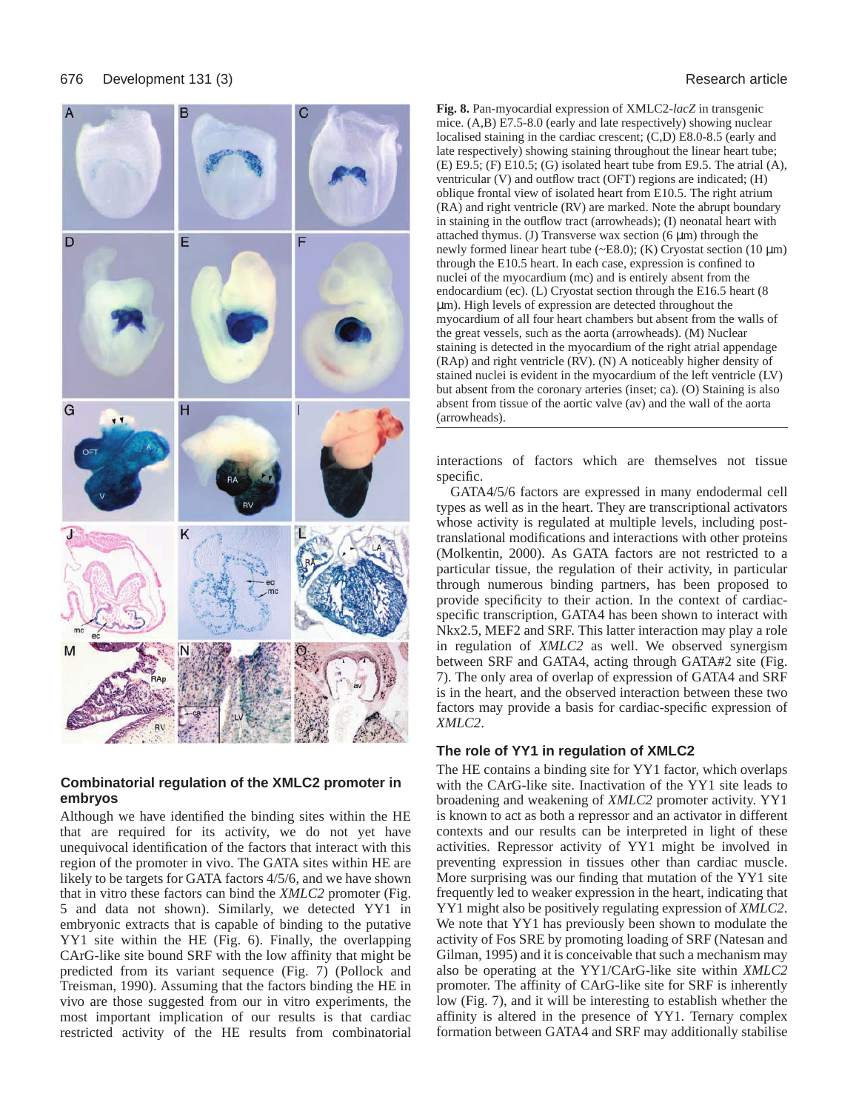

## **Combinatorial regulation of the XMLC2 promoter in embryos**

Although we have identified the binding sites within the HE that are required for its activity, we do not yet have unequivocal identification of the factors that interact with this region of the promoter in vivo. The GATA sites within HE are likely to be targets for GATA factors 4/5/6, and we have shown that in vitro these factors can bind the *XMLC2* promoter (Fig. 5 and data not shown). Similarly, we detected YY1 in embryonic extracts that is capable of binding to the putative YY1 site within the HE (Fig. 6). Finally, the overlapping CArG-like site bound SRF with the low affinity that might be predicted from its variant sequence (Fig. 7) (Pollock and Treisman, 1990). Assuming that the factors binding the HE in vivo are those suggested from our in vitro experiments, the most important implication of our results is that cardiac restricted activity of the HE results from combinatorial

**Fig. 8.** Pan-myocardial expression of XMLC2-*lacZ* in transgenic mice. (A,B) E7.5-8.0 (early and late respectively) showing nuclear localised staining in the cardiac crescent; (C,D) E8.0-8.5 (early and late respectively) showing staining throughout the linear heart tube; (E) E9.5; (F) E10.5; (G) isolated heart tube from E9.5. The atrial (A), ventricular (V) and outflow tract (OFT) regions are indicated; (H) oblique frontal view of isolated heart from E10.5. The right atrium (RA) and right ventricle (RV) are marked. Note the abrupt boundary in staining in the outflow tract (arrowheads); (I) neonatal heart with attached thymus. (J) Transverse wax section  $(6 \mu m)$  through the newly formed linear heart tube ( $\sim$ E8.0); (K) Cryostat section (10  $\mu$ m) through the E10.5 heart. In each case, expression is confined to nuclei of the myocardium (mc) and is entirely absent from the endocardium (ec). (L) Cryostat section through the E16.5 heart (8 µm). High levels of expression are detected throughout the myocardium of all four heart chambers but absent from the walls of the great vessels, such as the aorta (arrowheads). (M) Nuclear staining is detected in the myocardium of the right atrial appendage (RAp) and right ventricle (RV). (N) A noticeably higher density of stained nuclei is evident in the myocardium of the left ventricle (LV) but absent from the coronary arteries (inset; ca). (O) Staining is also absent from tissue of the aortic valve (av) and the wall of the aorta (arrowheads).

interactions of factors which are themselves not tissue specific.

GATA4/5/6 factors are expressed in many endodermal cell types as well as in the heart. They are transcriptional activators whose activity is regulated at multiple levels, including posttranslational modifications and interactions with other proteins (Molkentin, 2000). As GATA factors are not restricted to a particular tissue, the regulation of their activity, in particular through numerous binding partners, has been proposed to provide specificity to their action. In the context of cardiacspecific transcription, GATA4 has been shown to interact with Nkx2.5, MEF2 and SRF. This latter interaction may play a role in regulation of *XMLC2* as well. We observed synergism between SRF and GATA4, acting through GATA#2 site (Fig. 7). The only area of overlap of expression of GATA4 and SRF is in the heart, and the observed interaction between these two factors may provide a basis for cardiac-specific expression of *XMLC2*.

### **The role of YY1 in regulation of XMLC2**

The HE contains a binding site for YY1 factor, which overlaps with the CArG-like site. Inactivation of the YY1 site leads to broadening and weakening of *XMLC2* promoter activity. YY1 is known to act as both a repressor and an activator in different contexts and our results can be interpreted in light of these activities. Repressor activity of YY1 might be involved in preventing expression in tissues other than cardiac muscle. More surprising was our finding that mutation of the YY1 site frequently led to weaker expression in the heart, indicating that YY1 might also be positively regulating expression of *XMLC2*. We note that YY1 has previously been shown to modulate the activity of Fos SRE by promoting loading of SRF (Natesan and Gilman, 1995) and it is conceivable that such a mechanism may also be operating at the YY1/CArG-like site within *XMLC2* promoter. The affinity of CArG-like site for SRF is inherently low (Fig. 7), and it will be interesting to establish whether the affinity is altered in the presence of YY1. Ternary complex formation between GATA4 and SRF may additionally stabilise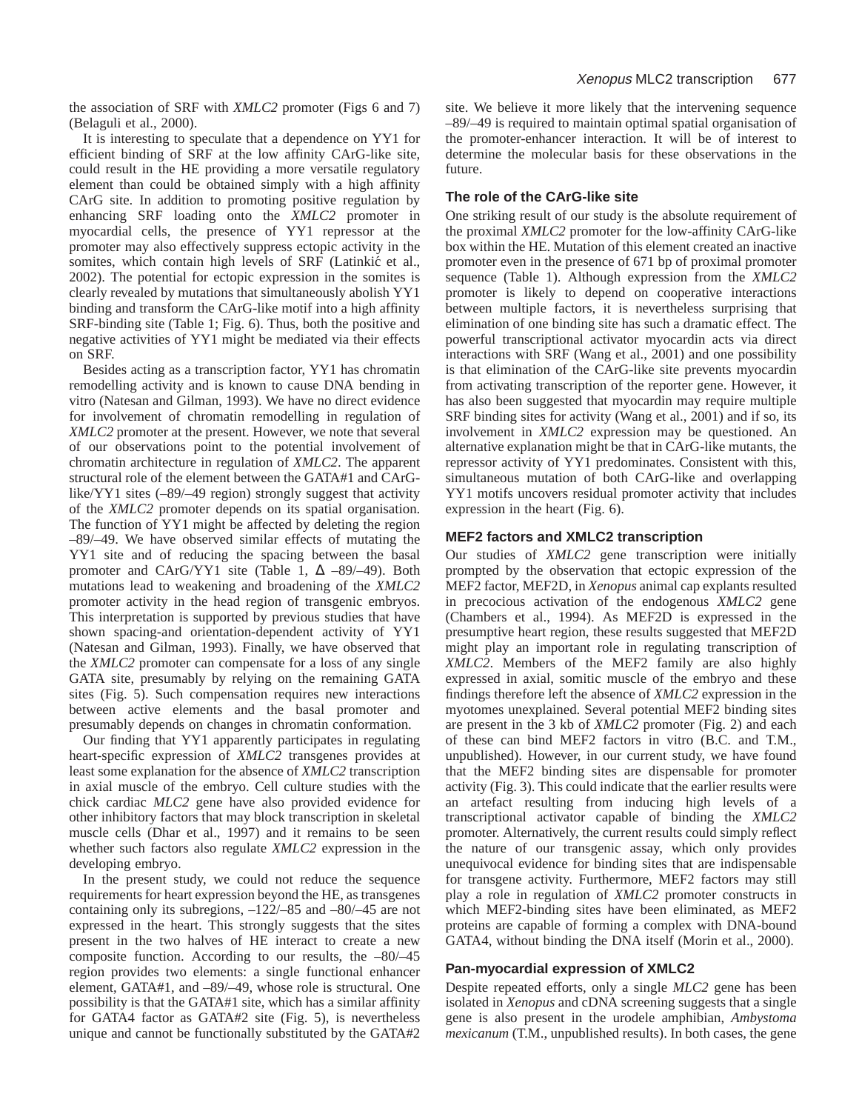the association of SRF with *XMLC2* promoter (Figs 6 and 7) (Belaguli et al., 2000).

It is interesting to speculate that a dependence on YY1 for efficient binding of SRF at the low affinity CArG-like site, could result in the HE providing a more versatile regulatory element than could be obtained simply with a high affinity CArG site. In addition to promoting positive regulation by enhancing SRF loading onto the *XMLC2* promoter in myocardial cells, the presence of YY1 repressor at the promoter may also effectively suppress ectopic activity in the somites, which contain high levels of SRF (Latinkić et al., 2002). The potential for ectopic expression in the somites is clearly revealed by mutations that simultaneously abolish YY1 binding and transform the CArG-like motif into a high affinity SRF-binding site (Table 1; Fig. 6). Thus, both the positive and negative activities of YY1 might be mediated via their effects on SRF.

Besides acting as a transcription factor, YY1 has chromatin remodelling activity and is known to cause DNA bending in vitro (Natesan and Gilman, 1993). We have no direct evidence for involvement of chromatin remodelling in regulation of *XMLC2* promoter at the present. However, we note that several of our observations point to the potential involvement of chromatin architecture in regulation of *XMLC2*. The apparent structural role of the element between the GATA#1 and CArGlike/YY1 sites (–89/–49 region) strongly suggest that activity of the *XMLC2* promoter depends on its spatial organisation. The function of YY1 might be affected by deleting the region –89/–49. We have observed similar effects of mutating the YY1 site and of reducing the spacing between the basal promoter and CArG/YY1 site (Table 1,  $\Delta$  –89/–49). Both mutations lead to weakening and broadening of the *XMLC2* promoter activity in the head region of transgenic embryos. This interpretation is supported by previous studies that have shown spacing-and orientation-dependent activity of YY1 (Natesan and Gilman, 1993). Finally, we have observed that the *XMLC2* promoter can compensate for a loss of any single GATA site, presumably by relying on the remaining GATA sites (Fig. 5). Such compensation requires new interactions between active elements and the basal promoter and presumably depends on changes in chromatin conformation.

Our finding that YY1 apparently participates in regulating heart-specific expression of *XMLC2* transgenes provides at least some explanation for the absence of *XMLC2* transcription in axial muscle of the embryo. Cell culture studies with the chick cardiac *MLC2* gene have also provided evidence for other inhibitory factors that may block transcription in skeletal muscle cells (Dhar et al., 1997) and it remains to be seen whether such factors also regulate *XMLC2* expression in the developing embryo.

In the present study, we could not reduce the sequence requirements for heart expression beyond the HE, as transgenes containing only its subregions, –122/–85 and –80/–45 are not expressed in the heart. This strongly suggests that the sites present in the two halves of HE interact to create a new composite function. According to our results, the –80/–45 region provides two elements: a single functional enhancer element, GATA#1, and –89/–49, whose role is structural. One possibility is that the GATA#1 site, which has a similar affinity for GATA4 factor as GATA#2 site (Fig. 5), is nevertheless unique and cannot be functionally substituted by the GATA#2

site. We believe it more likely that the intervening sequence –89/–49 is required to maintain optimal spatial organisation of the promoter-enhancer interaction. It will be of interest to determine the molecular basis for these observations in the future.

## **The role of the CArG-like site**

One striking result of our study is the absolute requirement of the proximal *XMLC2* promoter for the low-affinity CArG-like box within the HE. Mutation of this element created an inactive promoter even in the presence of 671 bp of proximal promoter sequence (Table 1). Although expression from the *XMLC2* promoter is likely to depend on cooperative interactions between multiple factors, it is nevertheless surprising that elimination of one binding site has such a dramatic effect. The powerful transcriptional activator myocardin acts via direct interactions with SRF (Wang et al., 2001) and one possibility is that elimination of the CArG-like site prevents myocardin from activating transcription of the reporter gene. However, it has also been suggested that myocardin may require multiple SRF binding sites for activity (Wang et al., 2001) and if so, its involvement in *XMLC2* expression may be questioned. An alternative explanation might be that in CArG-like mutants, the repressor activity of YY1 predominates. Consistent with this, simultaneous mutation of both CArG-like and overlapping YY1 motifs uncovers residual promoter activity that includes expression in the heart (Fig. 6).

#### **MEF2 factors and XMLC2 transcription**

Our studies of *XMLC2* gene transcription were initially prompted by the observation that ectopic expression of the MEF2 factor, MEF2D, in *Xenopus* animal cap explants resulted in precocious activation of the endogenous *XMLC2* gene (Chambers et al., 1994). As MEF2D is expressed in the presumptive heart region, these results suggested that MEF2D might play an important role in regulating transcription of *XMLC2*. Members of the MEF2 family are also highly expressed in axial, somitic muscle of the embryo and these findings therefore left the absence of *XMLC2* expression in the myotomes unexplained. Several potential MEF2 binding sites are present in the 3 kb of *XMLC2* promoter (Fig. 2) and each of these can bind MEF2 factors in vitro (B.C. and T.M., unpublished). However, in our current study, we have found that the MEF2 binding sites are dispensable for promoter activity (Fig. 3). This could indicate that the earlier results were an artefact resulting from inducing high levels of a transcriptional activator capable of binding the *XMLC2* promoter. Alternatively, the current results could simply reflect the nature of our transgenic assay, which only provides unequivocal evidence for binding sites that are indispensable for transgene activity. Furthermore, MEF2 factors may still play a role in regulation of *XMLC2* promoter constructs in which MEF2-binding sites have been eliminated, as MEF2 proteins are capable of forming a complex with DNA-bound GATA4, without binding the DNA itself (Morin et al., 2000).

### **Pan-myocardial expression of XMLC2**

Despite repeated efforts, only a single *MLC2* gene has been isolated in *Xenopus* and cDNA screening suggests that a single gene is also present in the urodele amphibian, *Ambystoma mexicanum* (T.M., unpublished results). In both cases, the gene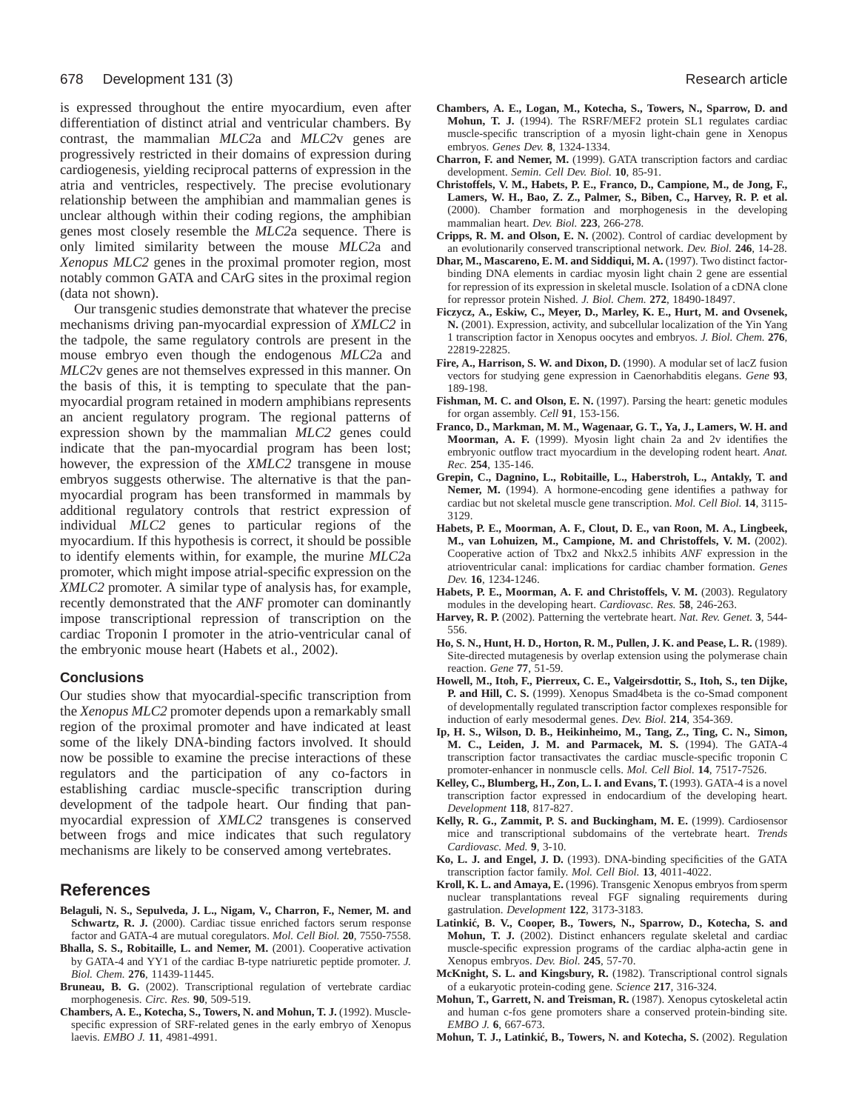is expressed throughout the entire myocardium, even after differentiation of distinct atrial and ventricular chambers. By contrast, the mammalian *MLC2*a and *MLC2*v genes are progressively restricted in their domains of expression during cardiogenesis, yielding reciprocal patterns of expression in the atria and ventricles, respectively. The precise evolutionary relationship between the amphibian and mammalian genes is unclear although within their coding regions, the amphibian genes most closely resemble the *MLC2*a sequence. There is only limited similarity between the mouse *MLC2*a and *Xenopus MLC2* genes in the proximal promoter region, most notably common GATA and CArG sites in the proximal region (data not shown).

Our transgenic studies demonstrate that whatever the precise mechanisms driving pan-myocardial expression of *XMLC2* in the tadpole, the same regulatory controls are present in the mouse embryo even though the endogenous *MLC2*a and *MLC2*v genes are not themselves expressed in this manner. On the basis of this, it is tempting to speculate that the panmyocardial program retained in modern amphibians represents an ancient regulatory program. The regional patterns of expression shown by the mammalian *MLC2* genes could indicate that the pan-myocardial program has been lost; however, the expression of the *XMLC2* transgene in mouse embryos suggests otherwise. The alternative is that the panmyocardial program has been transformed in mammals by additional regulatory controls that restrict expression of individual *MLC2* genes to particular regions of the myocardium. If this hypothesis is correct, it should be possible to identify elements within, for example, the murine *MLC2*a promoter, which might impose atrial-specific expression on the *XMLC2* promoter. A similar type of analysis has, for example, recently demonstrated that the *ANF* promoter can dominantly impose transcriptional repression of transcription on the cardiac Troponin I promoter in the atrio-ventricular canal of the embryonic mouse heart (Habets et al., 2002).

#### **Conclusions**

Our studies show that myocardial-specific transcription from the *Xenopus MLC2* promoter depends upon a remarkably small region of the proximal promoter and have indicated at least some of the likely DNA-binding factors involved. It should now be possible to examine the precise interactions of these regulators and the participation of any co-factors in establishing cardiac muscle-specific transcription during development of the tadpole heart. Our finding that panmyocardial expression of *XMLC2* transgenes is conserved between frogs and mice indicates that such regulatory mechanisms are likely to be conserved among vertebrates.

### **References**

- **Belaguli, N. S., Sepulveda, J. L., Nigam, V., Charron, F., Nemer, M. and** Schwartz, R. J. (2000). Cardiac tissue enriched factors serum response factor and GATA-4 are mutual coregulators. *Mol. Cell Biol.* **20**, 7550-7558.
- **Bhalla, S. S., Robitaille, L. and Nemer, M.** (2001). Cooperative activation by GATA-4 and YY1 of the cardiac B-type natriuretic peptide promoter. *J. Biol. Chem.* **276**, 11439-11445.
- **Bruneau, B. G.** (2002). Transcriptional regulation of vertebrate cardiac morphogenesis. *Circ. Res.* **90**, 509-519.
- **Chambers, A. E., Kotecha, S., Towers, N. and Mohun, T. J.** (1992). Musclespecific expression of SRF-related genes in the early embryo of Xenopus laevis. *EMBO J.* **11**, 4981-4991.
- **Chambers, A. E., Logan, M., Kotecha, S., Towers, N., Sparrow, D. and Mohun, T. J.** (1994). The RSRF/MEF2 protein SL1 regulates cardiac muscle-specific transcription of a myosin light-chain gene in Xenopus embryos. *Genes Dev.* **8**, 1324-1334.
- **Charron, F. and Nemer, M.** (1999). GATA transcription factors and cardiac development. *Semin. Cell Dev. Biol.* **10**, 85-91.
- **Christoffels, V. M., Habets, P. E., Franco, D., Campione, M., de Jong, F., Lamers, W. H., Bao, Z. Z., Palmer, S., Biben, C., Harvey, R. P. et al.** (2000). Chamber formation and morphogenesis in the developing mammalian heart. *Dev. Biol.* **223**, 266-278.
- **Cripps, R. M. and Olson, E. N.** (2002). Control of cardiac development by an evolutionarily conserved transcriptional network. *Dev. Biol.* **246**, 14-28.
- Dhar, M., Mascareno, E. M. and Siddiqui, M. A. (1997). Two distinct factorbinding DNA elements in cardiac myosin light chain 2 gene are essential for repression of its expression in skeletal muscle. Isolation of a cDNA clone for repressor protein Nished. *J. Biol. Chem.* **272**, 18490-18497.
- **Ficzycz, A., Eskiw, C., Meyer, D., Marley, K. E., Hurt, M. and Ovsenek, N.** (2001). Expression, activity, and subcellular localization of the Yin Yang 1 transcription factor in Xenopus oocytes and embryos. *J. Biol. Chem.* **276**, 22819-22825.
- **Fire, A., Harrison, S. W. and Dixon, D.** (1990). A modular set of lacZ fusion vectors for studying gene expression in Caenorhabditis elegans. *Gene* **93**, 189-198.
- **Fishman, M. C. and Olson, E. N.** (1997). Parsing the heart: genetic modules for organ assembly. *Cell* **91**, 153-156.
- **Franco, D., Markman, M. M., Wagenaar, G. T., Ya, J., Lamers, W. H. and Moorman, A. F.** (1999). Myosin light chain 2a and 2v identifies the embryonic outflow tract myocardium in the developing rodent heart. *Anat. Rec.* **254**, 135-146.
- **Grepin, C., Dagnino, L., Robitaille, L., Haberstroh, L., Antakly, T. and Nemer, M.** (1994). A hormone-encoding gene identifies a pathway for cardiac but not skeletal muscle gene transcription. *Mol. Cell Biol.* **14**, 3115- 3129.
- **Habets, P. E., Moorman, A. F., Clout, D. E., van Roon, M. A., Lingbeek, M., van Lohuizen, M., Campione, M. and Christoffels, V. M.** (2002). Cooperative action of Tbx2 and Nkx2.5 inhibits *ANF* expression in the atrioventricular canal: implications for cardiac chamber formation. *Genes Dev.* **16**, 1234-1246.
- Habets, P. E., Moorman, A. F. and Christoffels, V. M. (2003). Regulatory modules in the developing heart. *Cardiovasc. Res.* **58**, 246-263.
- **Harvey, R. P.** (2002). Patterning the vertebrate heart. *Nat. Rev. Genet.* **3**, 544- 556.
- **Ho, S. N., Hunt, H. D., Horton, R. M., Pullen, J. K. and Pease, L. R.** (1989). Site-directed mutagenesis by overlap extension using the polymerase chain reaction. *Gene* **77**, 51-59.
- **Howell, M., Itoh, F., Pierreux, C. E., Valgeirsdottir, S., Itoh, S., ten Dijke, P. and Hill, C. S.** (1999). Xenopus Smad4beta is the co-Smad component of developmentally regulated transcription factor complexes responsible for induction of early mesodermal genes. *Dev. Biol.* **214**, 354-369.
- **Ip, H. S., Wilson, D. B., Heikinheimo, M., Tang, Z., Ting, C. N., Simon, M. C., Leiden, J. M. and Parmacek, M. S.** (1994). The GATA-4 transcription factor transactivates the cardiac muscle-specific troponin C promoter-enhancer in nonmuscle cells. *Mol. Cell Biol.* **14**, 7517-7526.
- Kelley, C., Blumberg, H., Zon, L. I. and Evans, T. (1993). GATA-4 is a novel transcription factor expressed in endocardium of the developing heart. *Development* **118**, 817-827.
- **Kelly, R. G., Zammit, P. S. and Buckingham, M. E.** (1999). Cardiosensor mice and transcriptional subdomains of the vertebrate heart. *Trends Cardiovasc. Med.* **9**, 3-10.
- **Ko, L. J. and Engel, J. D.** (1993). DNA-binding specificities of the GATA transcription factor family. *Mol. Cell Biol.* **13**, 4011-4022.
- **Kroll, K. L. and Amaya, E.** (1996). Transgenic Xenopus embryos from sperm nuclear transplantations reveal FGF signaling requirements during gastrulation. *Development* **122**, 3173-3183.
- Latinkić, B. V., Cooper, B., Towers, N., Sparrow, D., Kotecha, S. and **Mohun, T. J.** (2002). Distinct enhancers regulate skeletal and cardiac muscle-specific expression programs of the cardiac alpha-actin gene in Xenopus embryos. *Dev. Biol.* **245**, 57-70.
- **McKnight, S. L. and Kingsbury, R.** (1982). Transcriptional control signals of a eukaryotic protein-coding gene. *Science* **217**, 316-324.
- **Mohun, T., Garrett, N. and Treisman, R.** (1987). Xenopus cytoskeletal actin and human c-fos gene promoters share a conserved protein-binding site. *EMBO J.* **6**, 667-673.
- Mohun, T. J., Latinkić, B., Towers, N. and Kotecha, S. (2002). Regulation